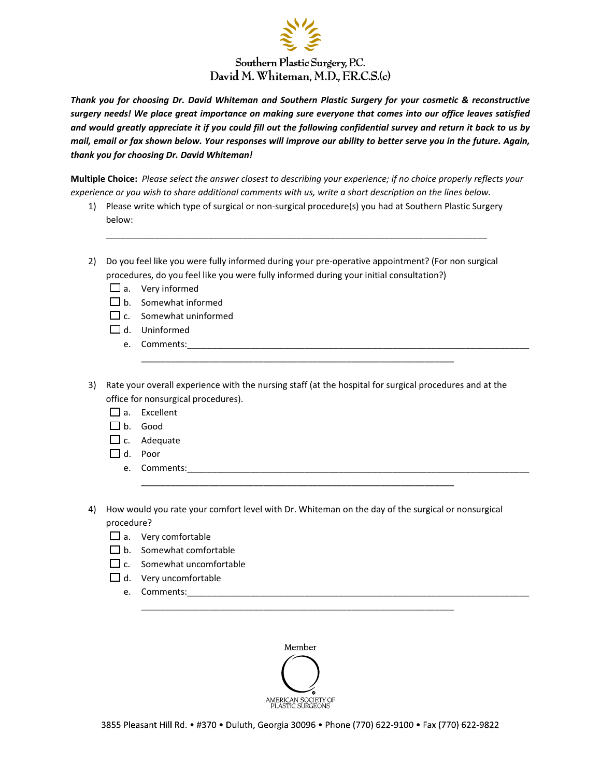

*Thank you for choosing Dr. David Whiteman and Southern Plastic Surgery for your cosmetic & reconstructive* surgery needs! We place great importance on making sure everyone that comes into our office leaves satisfied and would greatly appreciate it if you could fill out the following confidential survey and return it back to us by mail, email or fax shown below. Your responses will improve our ability to better serve you in the future. Again, *thank you for choosing Dr. David Whiteman!*

Multiple Choice: Please select the answer closest to describing your experience; if no choice properly reflects your experience or you wish to share additional comments with us, write a short description on the lines below.

1) Please write which type of surgical or non‐surgical procedure(s) you had at Southern Plastic Surgery below:

\_\_\_\_\_\_\_\_\_\_\_\_\_\_\_\_\_\_\_\_\_\_\_\_\_\_\_\_\_\_\_\_\_\_\_\_\_\_\_\_\_\_\_\_\_\_\_\_\_\_\_\_\_\_\_\_\_\_\_\_\_\_\_\_\_\_\_\_\_\_\_\_\_\_\_\_\_\_

- 2) Do you feel like you were fully informed during your pre-operative appointment? (For non surgical procedures, do you feel like you were fully informed during your initial consultation?)
	- $\Box$  a. Very informed
	- $\Box$  b. Somewhat informed
	- $\Box$  c. Somewhat uninformed
	- $\Box$  d. Uninformed
		- e. Comments:
- 3) Rate your overall experience with the nursing staff (at the hospital for surgical procedures and at the office for nonsurgical procedures).

\_\_\_\_\_\_\_\_\_\_\_\_\_\_\_\_\_\_\_\_\_\_\_\_\_\_\_\_\_\_\_\_\_\_\_\_\_\_\_\_\_\_\_\_\_\_\_\_\_\_\_\_\_\_\_\_\_\_\_\_\_\_\_\_

- $\prod_{a}$  Excellent
- b. Good
- $\square$  c. Adequate
- d. Poor
	- e. Comments:
- 4) How would you rate your comfort level with Dr. Whiteman on the day of the surgical or nonsurgical procedure?

\_\_\_\_\_\_\_\_\_\_\_\_\_\_\_\_\_\_\_\_\_\_\_\_\_\_\_\_\_\_\_\_\_\_\_\_\_\_\_\_\_\_\_\_\_\_\_\_\_\_\_\_\_\_\_\_\_\_\_\_\_\_\_\_

- $\Box$  a. Very comfortable
- $\Box$  b. Somewhat comfortable
- $\Box$  c. Somewhat uncomfortable
- $\Box$  d. Very uncomfortable
	- e. Comments:



\_\_\_\_\_\_\_\_\_\_\_\_\_\_\_\_\_\_\_\_\_\_\_\_\_\_\_\_\_\_\_\_\_\_\_\_\_\_\_\_\_\_\_\_\_\_\_\_\_\_\_\_\_\_\_\_\_\_\_\_\_\_\_\_